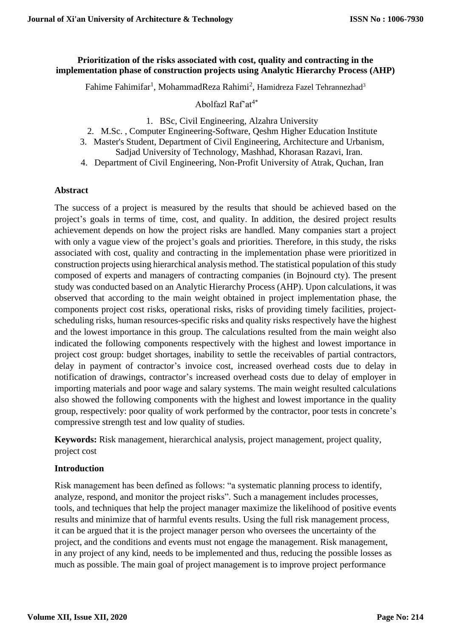## **Prioritization of the risks associated with cost, quality and contracting in the implementation phase of construction projects using Analytic Hierarchy Process (AHP)**

Fahime Fahimifar<sup>1</sup>, MohammadReza Rahimi<sup>2</sup>, Hamidreza Fazel Tehrannezhad<sup>3</sup>

Abolfazl Raf'at $4^*$ 

- 1. BSc, Civil Engineering, Alzahra University
- 2. M.Sc. , Computer Engineering-Software, Qeshm Higher Education Institute
- 3. Master's Student, Department of Civil Engineering, Architecture and Urbanism,
	- Sadjad University of Technology, Mashhad, Khorasan Razavi, Iran.
- 4. Department of Civil Engineering, Non-Profit University of Atrak, Quchan, Iran

## **Abstract**

The success of a project is measured by the results that should be achieved based on the project's goals in terms of time, cost, and quality. In addition, the desired project results achievement depends on how the project risks are handled. Many companies start a project with only a vague view of the project's goals and priorities. Therefore, in this study, the risks associated with cost, quality and contracting in the implementation phase were prioritized in construction projects using hierarchical analysis method. The statistical population of this study composed of experts and managers of contracting companies (in Bojnourd cty). The present study was conducted based on an Analytic Hierarchy Process (AHP). Upon calculations, it was observed that according to the main weight obtained in project implementation phase, the components project cost risks, operational risks, risks of providing timely facilities, projectscheduling risks, human resources-specific risks and quality risks respectively have the highest and the lowest importance in this group. The calculations resulted from the main weight also indicated the following components respectively with the highest and lowest importance in project cost group: budget shortages, inability to settle the receivables of partial contractors, delay in payment of contractor's invoice cost, increased overhead costs due to delay in notification of drawings, contractor's increased overhead costs due to delay of employer in importing materials and poor wage and salary systems. The main weight resulted calculations also showed the following components with the highest and lowest importance in the quality group, respectively: poor quality of work performed by the contractor, poor tests in concrete's compressive strength test and low quality of studies.

**Keywords:** Risk management, hierarchical analysis, project management, project quality, project cost

# **Introduction**

Risk management has been defined as follows: "a systematic planning process to identify, analyze, respond, and monitor the project risks". Such a management includes processes, tools, and techniques that help the project manager maximize the likelihood of positive events results and minimize that of harmful events results. Using the full risk management process, it can be argued that it is the project manager person who oversees the uncertainty of the project, and the conditions and events must not engage the management. Risk management, in any project of any kind, needs to be implemented and thus, reducing the possible losses as much as possible. The main goal of project management is to improve project performance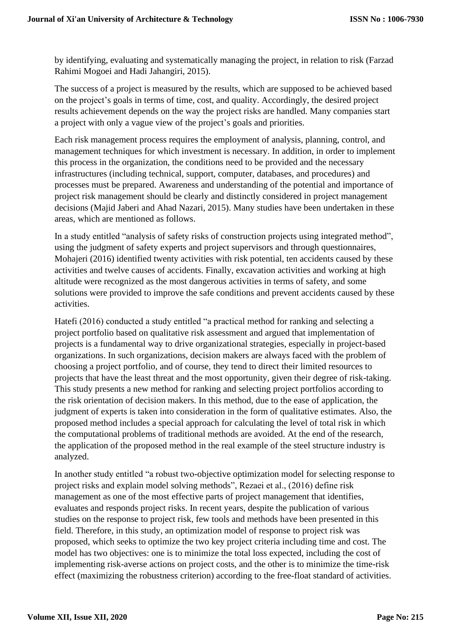by identifying, evaluating and systematically managing the project, in relation to risk (Farzad Rahimi Mogoei and Hadi Jahangiri, 2015).

The success of a project is measured by the results, which are supposed to be achieved based on the project's goals in terms of time, cost, and quality. Accordingly, the desired project results achievement depends on the way the project risks are handled. Many companies start a project with only a vague view of the project's goals and priorities.

Each risk management process requires the employment of analysis, planning, control, and management techniques for which investment is necessary. In addition, in order to implement this process in the organization, the conditions need to be provided and the necessary infrastructures (including technical, support, computer, databases, and procedures) and processes must be prepared. Awareness and understanding of the potential and importance of project risk management should be clearly and distinctly considered in project management decisions (Majid Jaberi and Ahad Nazari, 2015). Many studies have been undertaken in these areas, which are mentioned as follows.

In a study entitled "analysis of safety risks of construction projects using integrated method", using the judgment of safety experts and project supervisors and through questionnaires, Mohajeri (2016) identified twenty activities with risk potential, ten accidents caused by these activities and twelve causes of accidents. Finally, excavation activities and working at high altitude were recognized as the most dangerous activities in terms of safety, and some solutions were provided to improve the safe conditions and prevent accidents caused by these activities.

Hatefi (2016) conducted a study entitled "a practical method for ranking and selecting a project portfolio based on qualitative risk assessment and argued that implementation of projects is a fundamental way to drive organizational strategies, especially in project-based organizations. In such organizations, decision makers are always faced with the problem of choosing a project portfolio, and of course, they tend to direct their limited resources to projects that have the least threat and the most opportunity, given their degree of risk-taking. This study presents a new method for ranking and selecting project portfolios according to the risk orientation of decision makers. In this method, due to the ease of application, the judgment of experts is taken into consideration in the form of qualitative estimates. Also, the proposed method includes a special approach for calculating the level of total risk in which the computational problems of traditional methods are avoided. At the end of the research, the application of the proposed method in the real example of the steel structure industry is analyzed.

In another study entitled "a robust two-objective optimization model for selecting response to project risks and explain model solving methods", Rezaei et al., (2016) define risk management as one of the most effective parts of project management that identifies, evaluates and responds project risks. In recent years, despite the publication of various studies on the response to project risk, few tools and methods have been presented in this field. Therefore, in this study, an optimization model of response to project risk was proposed, which seeks to optimize the two key project criteria including time and cost. The model has two objectives: one is to minimize the total loss expected, including the cost of implementing risk-averse actions on project costs, and the other is to minimize the time-risk effect (maximizing the robustness criterion) according to the free-float standard of activities.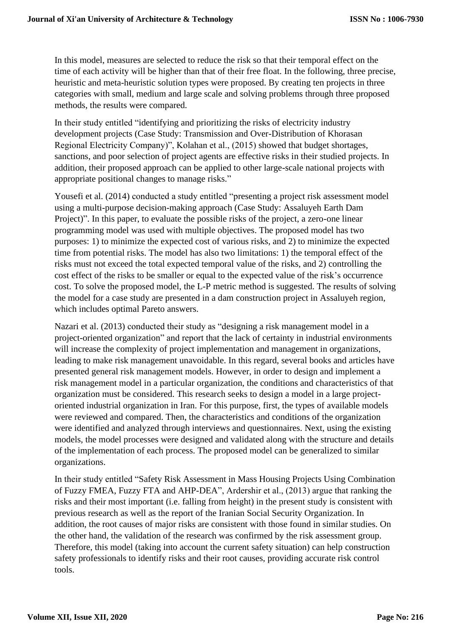In this model, measures are selected to reduce the risk so that their temporal effect on the time of each activity will be higher than that of their free float. In the following, three precise, heuristic and meta-heuristic solution types were proposed. By creating ten projects in three categories with small, medium and large scale and solving problems through three proposed methods, the results were compared.

In their study entitled "identifying and prioritizing the risks of electricity industry development projects (Case Study: Transmission and Over-Distribution of Khorasan Regional Electricity Company)", Kolahan et al., (2015) showed that budget shortages, sanctions, and poor selection of project agents are effective risks in their studied projects. In addition, their proposed approach can be applied to other large-scale national projects with appropriate positional changes to manage risks."

Yousefi et al. (2014) conducted a study entitled "presenting a project risk assessment model using a multi-purpose decision-making approach (Case Study: Assaluyeh Earth Dam Project)". In this paper, to evaluate the possible risks of the project, a zero-one linear programming model was used with multiple objectives. The proposed model has two purposes: 1) to minimize the expected cost of various risks, and 2) to minimize the expected time from potential risks. The model has also two limitations: 1) the temporal effect of the risks must not exceed the total expected temporal value of the risks, and 2) controlling the cost effect of the risks to be smaller or equal to the expected value of the risk's occurrence cost. To solve the proposed model, the L-P metric method is suggested. The results of solving the model for a case study are presented in a dam construction project in Assaluyeh region, which includes optimal Pareto answers.

Nazari et al. (2013) conducted their study as "designing a risk management model in a project-oriented organization" and report that the lack of certainty in industrial environments will increase the complexity of project implementation and management in organizations, leading to make risk management unavoidable. In this regard, several books and articles have presented general risk management models. However, in order to design and implement a risk management model in a particular organization, the conditions and characteristics of that organization must be considered. This research seeks to design a model in a large projectoriented industrial organization in Iran. For this purpose, first, the types of available models were reviewed and compared. Then, the characteristics and conditions of the organization were identified and analyzed through interviews and questionnaires. Next, using the existing models, the model processes were designed and validated along with the structure and details of the implementation of each process. The proposed model can be generalized to similar organizations.

In their study entitled "Safety Risk Assessment in Mass Housing Projects Using Combination of Fuzzy FMEA, Fuzzy FTA and AHP-DEA", Ardershir et al., (2013) argue that ranking the risks and their most important (i.e. falling from height) in the present study is consistent with previous research as well as the report of the Iranian Social Security Organization. In addition, the root causes of major risks are consistent with those found in similar studies. On the other hand, the validation of the research was confirmed by the risk assessment group. Therefore, this model (taking into account the current safety situation) can help construction safety professionals to identify risks and their root causes, providing accurate risk control tools.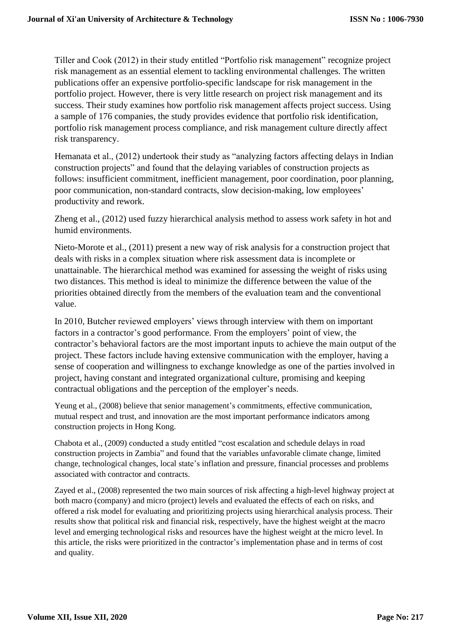Tiller and Cook (2012) in their study entitled "Portfolio risk management" recognize project risk management as an essential element to tackling environmental challenges. The written publications offer an expensive portfolio-specific landscape for risk management in the portfolio project. However, there is very little research on project risk management and its success. Their study examines how portfolio risk management affects project success. Using a sample of 176 companies, the study provides evidence that portfolio risk identification, portfolio risk management process compliance, and risk management culture directly affect risk transparency.

Hemanata et al., (2012) undertook their study as "analyzing factors affecting delays in Indian construction projects" and found that the delaying variables of construction projects as follows: insufficient commitment, inefficient management, poor coordination, poor planning, poor communication, non-standard contracts, slow decision-making, low employees' productivity and rework.

Zheng et al., (2012) used fuzzy hierarchical analysis method to assess work safety in hot and humid environments.

Nieto-Morote et al., (2011) present a new way of risk analysis for a construction project that deals with risks in a complex situation where risk assessment data is incomplete or unattainable. The hierarchical method was examined for assessing the weight of risks using two distances. This method is ideal to minimize the difference between the value of the priorities obtained directly from the members of the evaluation team and the conventional value.

In 2010, Butcher reviewed employers' views through interview with them on important factors in a contractor's good performance. From the employers' point of view, the contractor's behavioral factors are the most important inputs to achieve the main output of the project. These factors include having extensive communication with the employer, having a sense of cooperation and willingness to exchange knowledge as one of the parties involved in project, having constant and integrated organizational culture, promising and keeping contractual obligations and the perception of the employer's needs.

Yeung et al., (2008) believe that senior management's commitments, effective communication, mutual respect and trust, and innovation are the most important performance indicators among construction projects in Hong Kong.

Chabota et al., (2009) conducted a study entitled "cost escalation and schedule delays in road construction projects in Zambia" and found that the variables unfavorable climate change, limited change, technological changes, local state's inflation and pressure, financial processes and problems associated with contractor and contracts.

Zayed et al., (2008) represented the two main sources of risk affecting a high-level highway project at both macro (company) and micro (project) levels and evaluated the effects of each on risks, and offered a risk model for evaluating and prioritizing projects using hierarchical analysis process. Their results show that political risk and financial risk, respectively, have the highest weight at the macro level and emerging technological risks and resources have the highest weight at the micro level. In this article, the risks were prioritized in the contractor's implementation phase and in terms of cost and quality.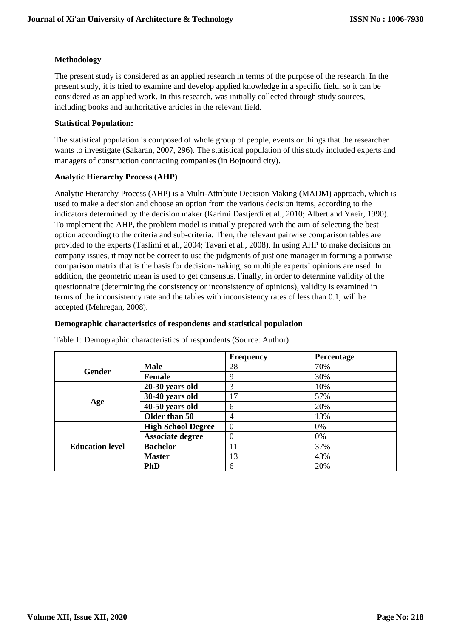#### **Methodology**

The present study is considered as an applied research in terms of the purpose of the research. In the present study, it is tried to examine and develop applied knowledge in a specific field, so it can be considered as an applied work. In this research, was initially collected through study sources, including books and authoritative articles in the relevant field.

#### **Statistical Population:**

The statistical population is composed of whole group of people, events or things that the researcher wants to investigate (Sakaran, 2007, 296). The statistical population of this study included experts and managers of construction contracting companies (in Bojnourd city).

#### **Analytic Hierarchy Process (AHP)**

Analytic Hierarchy Process (AHP) is a Multi-Attribute Decision Making (MADM) approach, which is used to make a decision and choose an option from the various decision items, according to the indicators determined by the decision maker (Karimi Dastjerdi et al., 2010; Albert and Yaeir, 1990). To implement the AHP, the problem model is initially prepared with the aim of selecting the best option according to the criteria and sub-criteria. Then, the relevant pairwise comparison tables are provided to the experts (Taslimi et al., 2004; Tavari et al., 2008). In using AHP to make decisions on company issues, it may not be correct to use the judgments of just one manager in forming a pairwise comparison matrix that is the basis for decision-making, so multiple experts' opinions are used. In addition, the geometric mean is used to get consensus. Finally, in order to determine validity of the questionnaire (determining the consistency or inconsistency of opinions), validity is examined in terms of the inconsistency rate and the tables with inconsistency rates of less than 0.1, will be accepted (Mehregan, 2008).

#### **Demographic characteristics of respondents and statistical population**

|                        |                           | <b>Frequency</b> | <b>Percentage</b> |
|------------------------|---------------------------|------------------|-------------------|
| Gender                 | <b>Male</b>               | 28               | 70%               |
|                        | <b>Female</b>             | 9                | 30%               |
|                        | 20-30 years old           | 3                | 10%               |
|                        | 30-40 years old           | 17               | 57%               |
| Age                    | 40-50 years old           | 6                | 20%               |
|                        | Older than 50             | 4                | 13%               |
|                        | <b>High School Degree</b> | $\overline{0}$   | 0%                |
|                        | <b>Associate degree</b>   |                  | 0%                |
| <b>Education level</b> | <b>Bachelor</b>           | 11               | 37%               |
|                        | <b>Master</b>             | 13               | 43%               |
|                        | <b>PhD</b>                | 6                | 20%               |

Table 1: Demographic characteristics of respondents (Source: Author)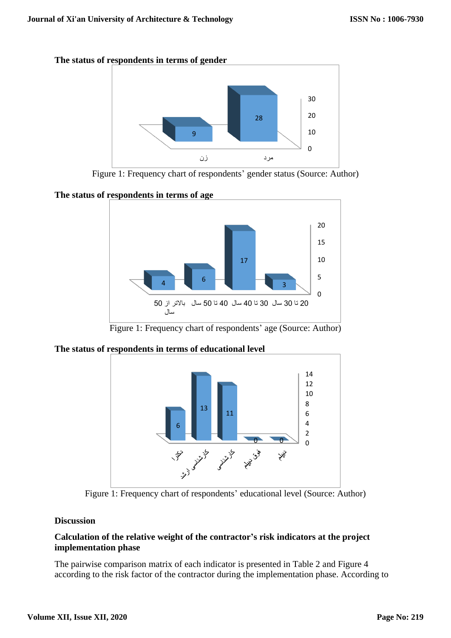

Figure 1: Frequency chart of respondents' gender status (Source: Author)

**The status of respondents in terms of age**



Figure 1: Frequency chart of respondents' age (Source: Author)

# **The status of respondents in terms of educational level**



Figure 1: Frequency chart of respondents' educational level (Source: Author)

# **Discussion**

# **Calculation of the relative weight of the contractor's risk indicators at the project implementation phase**

The pairwise comparison matrix of each indicator is presented in Table 2 and Figure 4 according to the risk factor of the contractor during the implementation phase. According to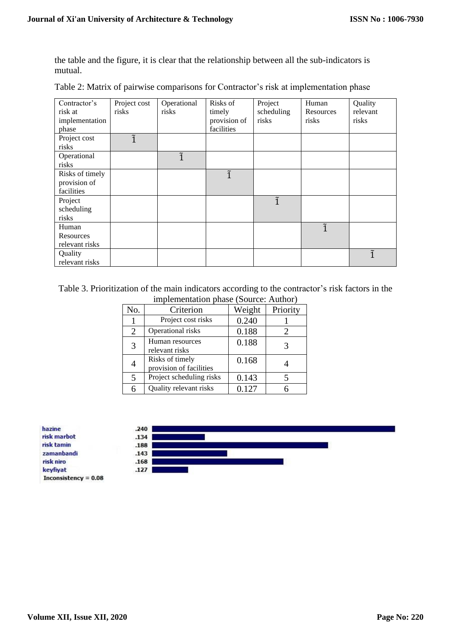the table and the figure, it is clear that the relationship between all the sub-indicators is mutual.

| Contractor's    | Project cost | Operational | Risks of     | Project     | Human       | Quality  |
|-----------------|--------------|-------------|--------------|-------------|-------------|----------|
| risk at         | risks        | risks       | timely       | scheduling  | Resources   | relevant |
| implementation  |              |             | provision of | risks       | risks       | risks    |
| phase           |              |             | facilities   |             |             |          |
| Project cost    | ĩ            |             |              |             |             |          |
| risks           |              |             |              |             |             |          |
| Operational     |              | ĩ           |              |             |             |          |
| risks           |              |             |              |             |             |          |
| Risks of timely |              |             | ĩ            |             |             |          |
| provision of    |              |             |              |             |             |          |
| facilities      |              |             |              |             |             |          |
| Project         |              |             |              | $\tilde{1}$ |             |          |
| scheduling      |              |             |              |             |             |          |
| risks           |              |             |              |             |             |          |
| Human           |              |             |              |             | $\tilde{1}$ |          |
| Resources       |              |             |              |             |             |          |
| relevant risks  |              |             |              |             |             |          |
| Quality         |              |             |              |             |             | ĩ        |
| relevant risks  |              |             |              |             |             |          |

Table 2: Matrix of pairwise comparisons for Contractor's risk at implementation phase

Table 3. Prioritization of the main indicators according to the contractor's risk factors in the implementation phase (Source: Author)

|                | $\cdots$                                   |        |          |
|----------------|--------------------------------------------|--------|----------|
| No.            | Criterion                                  | Weight | Priority |
|                | Project cost risks                         | 0.240  |          |
| $\overline{2}$ | Operational risks                          | 0.188  | 2        |
| 3              | Human resources<br>relevant risks          | 0.188  |          |
| 4              | Risks of timely<br>provision of facilities | 0.168  |          |
| 5              | Project scheduling risks                   | 0.143  |          |
| 6              | Quality relevant risks                     | 0.127  |          |

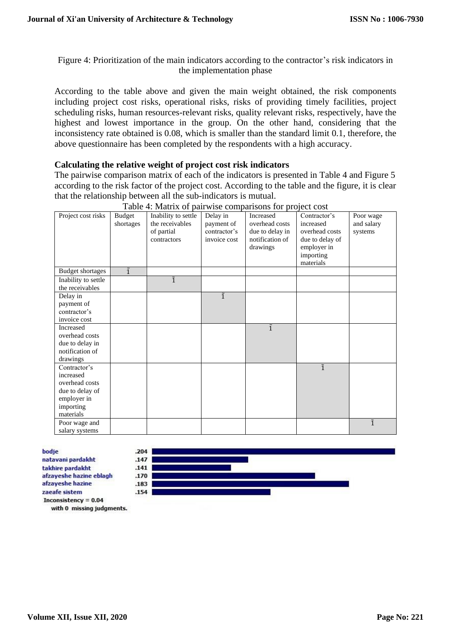# Figure 4: Prioritization of the main indicators according to the contractor's risk indicators in the implementation phase

According to the table above and given the main weight obtained, the risk components including project cost risks, operational risks, risks of providing timely facilities, project scheduling risks, human resources-relevant risks, quality relevant risks, respectively, have the highest and lowest importance in the group. On the other hand, considering that the inconsistency rate obtained is 0.08, which is smaller than the standard limit 0.1, therefore, the above questionnaire has been completed by the respondents with a high accuracy .

## **Calculating the relative weight of project cost risk indicators**

The pairwise comparison matrix of each of the indicators is presented in Table 4 and Figure 5 according to the risk factor of the project cost. According to the table and the figure, it is clear that the relationship between all the sub-indicators is mutual.

| Project cost risks      | <b>Budget</b><br>shortages | Inability to settle<br>the receivables<br>of partial<br>contractors | Delay in<br>payment of<br>contractor's<br>invoice cost | Increased<br>overhead costs<br>due to delay in<br>notification of<br>drawings | Contractor's<br>increased<br>overhead costs<br>due to delay of<br>employer in<br>importing<br>materials | Poor wage<br>and salary<br>systems |
|-------------------------|----------------------------|---------------------------------------------------------------------|--------------------------------------------------------|-------------------------------------------------------------------------------|---------------------------------------------------------------------------------------------------------|------------------------------------|
| <b>Budget shortages</b> | $\tilde{1}$                |                                                                     |                                                        |                                                                               |                                                                                                         |                                    |
| Inability to settle     |                            | ĩ                                                                   |                                                        |                                                                               |                                                                                                         |                                    |
| the receivables         |                            |                                                                     |                                                        |                                                                               |                                                                                                         |                                    |
| Delay in                |                            |                                                                     | $\tilde{1}$                                            |                                                                               |                                                                                                         |                                    |
| payment of              |                            |                                                                     |                                                        |                                                                               |                                                                                                         |                                    |
| contractor's            |                            |                                                                     |                                                        |                                                                               |                                                                                                         |                                    |
| invoice cost            |                            |                                                                     |                                                        |                                                                               |                                                                                                         |                                    |
| Increased               |                            |                                                                     |                                                        | $\tilde{1}$                                                                   |                                                                                                         |                                    |
| overhead costs          |                            |                                                                     |                                                        |                                                                               |                                                                                                         |                                    |
| due to delay in         |                            |                                                                     |                                                        |                                                                               |                                                                                                         |                                    |
| notification of         |                            |                                                                     |                                                        |                                                                               |                                                                                                         |                                    |
| drawings                |                            |                                                                     |                                                        |                                                                               |                                                                                                         |                                    |
| Contractor's            |                            |                                                                     |                                                        |                                                                               | $\tilde{1}$                                                                                             |                                    |
| increased               |                            |                                                                     |                                                        |                                                                               |                                                                                                         |                                    |
| overhead costs          |                            |                                                                     |                                                        |                                                                               |                                                                                                         |                                    |
| due to delay of         |                            |                                                                     |                                                        |                                                                               |                                                                                                         |                                    |
| employer in             |                            |                                                                     |                                                        |                                                                               |                                                                                                         |                                    |
| importing               |                            |                                                                     |                                                        |                                                                               |                                                                                                         |                                    |
| materials               |                            |                                                                     |                                                        |                                                                               |                                                                                                         |                                    |
| Poor wage and           |                            |                                                                     |                                                        |                                                                               |                                                                                                         | $\tilde{1}$                        |
| salary systems          |                            |                                                                     |                                                        |                                                                               |                                                                                                         |                                    |

#### Table 4: Matrix of pairwise comparisons for project cost

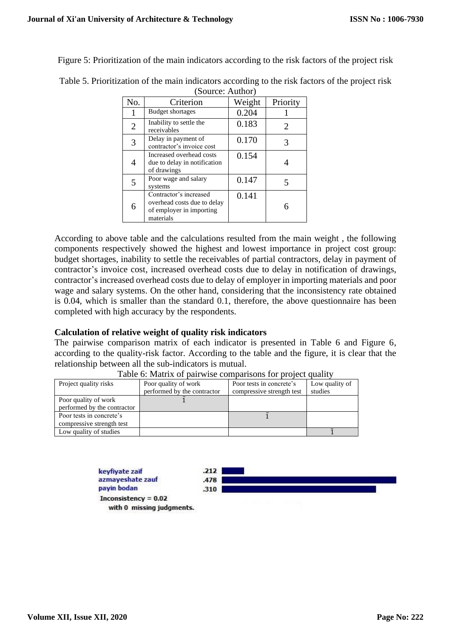Figure 5: Prioritization of the main indicators according to the risk factors of the project risk

| No.            | Criterion                                                                                      | Weight | Priority |  |  |  |  |
|----------------|------------------------------------------------------------------------------------------------|--------|----------|--|--|--|--|
| 1              | <b>Budget shortages</b>                                                                        | 0.204  |          |  |  |  |  |
| $\overline{2}$ | Inability to settle the<br>receivables                                                         | 0.183  | 2        |  |  |  |  |
| 3              | Delay in payment of<br>contractor's invoice cost                                               | 0.170  |          |  |  |  |  |
| 4              | Increased overhead costs<br>due to delay in notification<br>of drawings                        | 0.154  |          |  |  |  |  |
| 5              | Poor wage and salary<br>systems                                                                | 0.147  |          |  |  |  |  |
| 6              | Contractor's increased<br>overhead costs due to delay<br>of employer in importing<br>materials | 0.141  |          |  |  |  |  |

Table 5. Prioritization of the main indicators according to the risk factors of the project risk (Source: Author)

According to above table and the calculations resulted from the main weight , the following components respectively showed the highest and lowest importance in project cost group: budget shortages, inability to settle the receivables of partial contractors, delay in payment of contractor's invoice cost, increased overhead costs due to delay in notification of drawings, contractor's increased overhead costs due to delay of employer in importing materials and poor wage and salary systems. On the other hand, considering that the inconsistency rate obtained is 0.04, which is smaller than the standard 0.1, therefore, the above questionnaire has been completed with high accuracy by the respondents.

### **Calculation of relative weight of quality risk indicators**

The pairwise comparison matrix of each indicator is presented in Table 6 and Figure 6, according to the quality-risk factor. According to the table and the figure, it is clear that the relationship between all the sub-indicators is mutual.

| Project quality risks       | Poor quality of work        | Poor tests in concrete's  | Low quality of |
|-----------------------------|-----------------------------|---------------------------|----------------|
|                             | performed by the contractor | compressive strength test | studies        |
| Poor quality of work        |                             |                           |                |
| performed by the contractor |                             |                           |                |
| Poor tests in concrete's    |                             |                           |                |
| compressive strength test   |                             |                           |                |
| Low quality of studies      |                             |                           |                |

|  |  | Table 6: Matrix of pairwise comparisons for project quality |  |  |  |  |
|--|--|-------------------------------------------------------------|--|--|--|--|
|  |  |                                                             |  |  |  |  |

keyfiyate zaif azmayeshate zauf pavin bodan Inconsistency =  $0.02$ with 0 missing judgments.

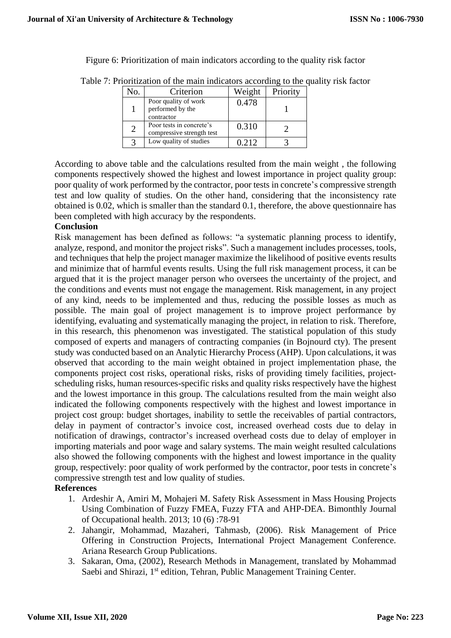Figure 6: Prioritization of main indicators according to the quality risk factor

| No. | Criterion                                              | Weight | Priority |
|-----|--------------------------------------------------------|--------|----------|
|     | Poor quality of work<br>performed by the<br>contractor | 0.478  |          |
|     | Poor tests in concrete's<br>compressive strength test  | 0.310  |          |
|     | Low quality of studies                                 | 0.212  |          |
|     |                                                        |        |          |

Table 7: Prioritization of the main indicators according to the quality risk factor

According to above table and the calculations resulted from the main weight , the following components respectively showed the highest and lowest importance in project quality group: poor quality of work performed by the contractor, poor tests in concrete's compressive strength test and low quality of studies. On the other hand, considering that the inconsistency rate obtained is 0.02, which is smaller than the standard 0.1, therefore, the above questionnaire has been completed with high accuracy by the respondents.

### **Conclusion**

Risk management has been defined as follows: "a systematic planning process to identify, analyze, respond, and monitor the project risks". Such a management includes processes, tools, and techniques that help the project manager maximize the likelihood of positive events results and minimize that of harmful events results. Using the full risk management process, it can be argued that it is the project manager person who oversees the uncertainty of the project, and the conditions and events must not engage the management. Risk management, in any project of any kind, needs to be implemented and thus, reducing the possible losses as much as possible. The main goal of project management is to improve project performance by identifying, evaluating and systematically managing the project, in relation to risk. Therefore, in this research, this phenomenon was investigated. The statistical population of this study composed of experts and managers of contracting companies (in Bojnourd cty). The present study was conducted based on an Analytic Hierarchy Process (AHP). Upon calculations, it was observed that according to the main weight obtained in project implementation phase, the components project cost risks, operational risks, risks of providing timely facilities, projectscheduling risks, human resources-specific risks and quality risks respectively have the highest and the lowest importance in this group. The calculations resulted from the main weight also indicated the following components respectively with the highest and lowest importance in project cost group: budget shortages, inability to settle the receivables of partial contractors, delay in payment of contractor's invoice cost, increased overhead costs due to delay in notification of drawings, contractor's increased overhead costs due to delay of employer in importing materials and poor wage and salary systems. The main weight resulted calculations also showed the following components with the highest and lowest importance in the quality group, respectively: poor quality of work performed by the contractor, poor tests in concrete's compressive strength test and low quality of studies.

### **References**

- 1. Ardeshir A, Amiri M, Mohajeri M. Safety Risk Assessment in Mass Housing Projects Using Combination of Fuzzy FMEA, Fuzzy FTA and AHP-DEA. Bimonthly Journal of Occupational health. 2013; 10 (6) :78-91
- 2. Jahangir, Mohammad, Mazaheri, Tahmasb, (2006). Risk Management of Price Offering in Construction Projects, International Project Management Conference. Ariana Research Group Publications.
- 3. Sakaran, Oma, (2002), Research Methods in Management, translated by Mohammad Saebi and Shirazi, 1<sup>st</sup> edition, Tehran, Public Management Training Center.